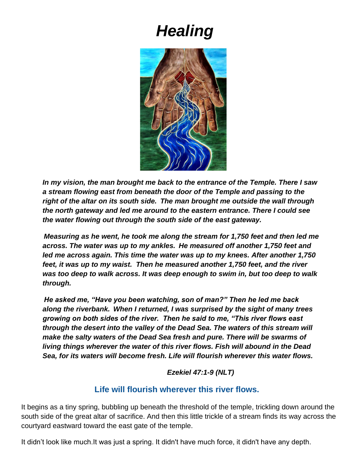# *Healing*



*In my vision, the man brought me back to the entrance of the Temple. There I saw a stream flowing east from beneath the door of the Temple and passing to the right of the altar on its south side. The man brought me outside the wall through the north gateway and led me around to the eastern entrance. There I could see the water flowing out through the south side of the east gateway.*

*Measuring as he went, he took me along the stream for 1,750 feet and then led me across. The water was up to my ankles. He measured off another 1,750 feet and led me across again. This time the water was up to my knees. After another 1,750 feet, it was up to my waist. Then he measured another 1,750 feet, and the river was too deep to walk across. It was deep enough to swim in, but too deep to walk through.*

*He asked me, "Have you been watching, son of man?" Then he led me back along the riverbank. When I returned, I was surprised by the sight of many trees growing on both sides of the river. Then he said to me, "This river flows east through the desert into the valley of the Dead Sea. The waters of this stream will make the salty waters of the Dead Sea fresh and pure. There will be swarms of living things wherever the water of this river flows. Fish will abound in the Dead Sea, for its waters will become fresh. Life will flourish wherever this water flows.* 

*Ezekiel 47:1-9 (NLT)*

## **Life will flourish wherever this river flows.**

It begins as a tiny spring, bubbling up beneath the threshold of the temple, trickling down around the south side of the great altar of sacrifice. And then this little trickle of a stream finds its way across the courtyard eastward toward the east gate of the temple.

It didn't look like much.It was just a spring. It didn't have much force, it didn't have any depth.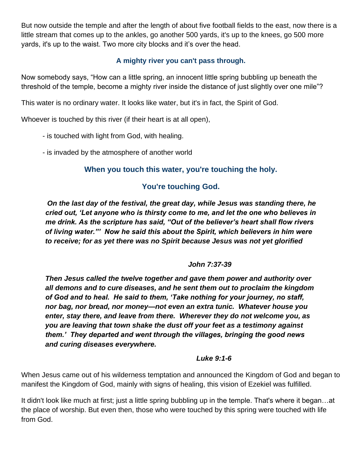But now outside the temple and after the length of about five football fields to the east, now there is a little stream that comes up to the ankles, go another 500 yards, it's up to the knees, go 500 more yards, it's up to the waist. Two more city blocks and it's over the head.

## **A mighty river you can't pass through.**

Now somebody says, "How can a little spring, an innocent little spring bubbling up beneath the threshold of the temple, become a mighty river inside the distance of just slightly over one mile"?

This water is no ordinary water. It looks like water, but it's in fact, the Spirit of God.

Whoever is touched by this river (if their heart is at all open),

- is touched with light from God, with healing.
- is invaded by the atmosphere of another world

#### **When you touch this water, you're touching the holy.**

#### **You're touching God.**

*On the last day of the festival, the great day, while Jesus was standing there, he cried out, 'Let anyone who is thirsty come to me, and let the one who believes in me drink. As the scripture has said, "Out of the believer's heart shall flow rivers of living water."' Now he said this about the Spirit, which believers in him were to receive; for as yet there was no Spirit because Jesus was not yet glorified*

#### *John 7:37-39*

*Then Jesus called the twelve together and gave them power and authority over all demons and to cure diseases, and he sent them out to proclaim the kingdom of God and to heal. He said to them, 'Take nothing for your journey, no staff, nor bag, nor bread, nor money—not even an extra tunic. Whatever house you enter, stay there, and leave from there. Wherever they do not welcome you, as you are leaving that town shake the dust off your feet as a testimony against them.' They departed and went through the villages, bringing the good news and curing diseases everywhere.* 

#### *Luke 9:1-6*

When Jesus came out of his wilderness temptation and announced the Kingdom of God and began to manifest the Kingdom of God, mainly with signs of healing, this vision of Ezekiel was fulfilled.

It didn't look like much at first; just a little spring bubbling up in the temple. That's where it began…at the place of worship. But even then, those who were touched by this spring were touched with life from God.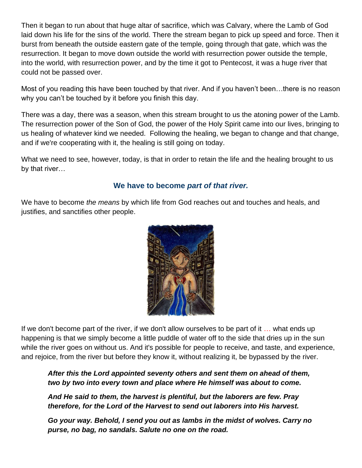Then it began to run about that huge altar of sacrifice, which was Calvary, where the Lamb of God laid down his life for the sins of the world. There the stream began to pick up speed and force. Then it burst from beneath the outside eastern gate of the temple, going through that gate, which was the resurrection. It began to move down outside the world with resurrection power outside the temple, into the world, with resurrection power, and by the time it got to Pentecost, it was a huge river that could not be passed over.

Most of you reading this have been touched by that river. And if you haven't been…there is no reason why you can't be touched by it before you finish this day.

There was a day, there was a season, when this stream brought to us the atoning power of the Lamb. The resurrection power of the Son of God, the power of the Holy Spirit came into our lives, bringing to us healing of whatever kind we needed. Following the healing, we began to change and that change, and if we're cooperating with it, the healing is still going on today.

What we need to see, however, today, is that in order to retain the life and the healing brought to us by that river…

#### **We have to become** *part of that river.*

We have to become *the means* by which life from God reaches out and touches and heals, and justifies, and sanctifies other people.



If we don't become part of the river, if we don't allow ourselves to be part of it … what ends up happening is that we simply become a little puddle of water off to the side that dries up in the sun while the river goes on without us. And it's possible for people to receive, and taste, and experience, and rejoice, from the river but before they know it, without realizing it, be bypassed by the river.

*After this the Lord appointed seventy others and sent them on ahead of them, two by two into every town and place where He himself was about to come.*

*And He said to them, the harvest is plentiful, but the laborers are few. Pray therefore, for the Lord of the Harvest to send out laborers into His harvest.*

*Go your way. Behold, I send you out as lambs in the midst of wolves. Carry no purse, no bag, no sandals. Salute no one on the road.*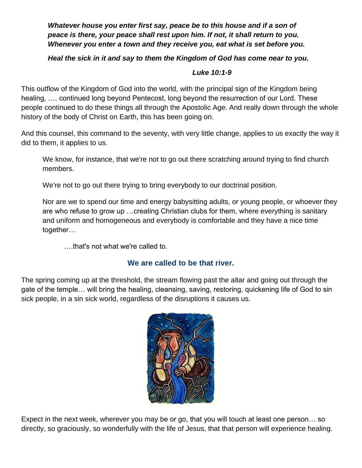*Whatever house you enter first say, peace be to this house and if a son of peace is there, your peace shall rest upon him. If not, it shall return to you. Whenever you enter a town and they receive you, eat what is set before you.*

#### *Heal the sick in it and say to them the Kingdom of God has come near to you.*

#### *Luke 10:1-9*

This outflow of the Kingdom of God into the world, with the principal sign of the Kingdom being healing, …. continued long beyond Pentecost, long beyond the resurrection of our Lord. These people continued to do these things all through the Apostolic Age. And really down through the whole history of the body of Christ on Earth, this has been going on.

And this counsel, this command to the seventy, with very little change, applies to us exactly the way it did to them, it applies to us.

We know, for instance, that we're not to go out there scratching around trying to find church members.

We're not to go out there trying to bring everybody to our doctrinal position.

Nor are we to spend our time and energy babysitting adults, or young people, or whoever they are who refuse to grow up …creating Christian clubs for them, where everything is sanitary and uniform and homogeneous and everybody is comfortable and they have a nice time together…

….that's not what we're called to.

#### **We are called to be that river.**

The spring coming up at the threshold, the stream flowing past the altar and going out through the gate of the temple… will bring the healing, cleansing, saving, restoring, quickening life of God to sin sick people, in a sin sick world, regardless of the disruptions it causes us.



Expect in the next week, wherever you may be or go, that you will touch at least one person… so directly, so graciously, so wonderfully with the life of Jesus, that that person will experience healing.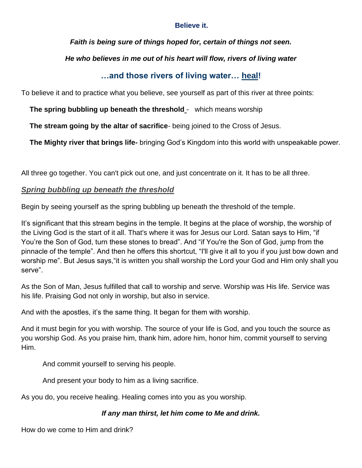#### **Believe it.**

*Faith is being sure of things hoped for, certain of things not seen.*

## *He who believes in me out of his heart will flow, rivers of living water*

# **…and those rivers of living water… heal!**

To believe it and to practice what you believe, see yourself as part of this river at three points:

**The spring bubbling up beneath the threshold** - which means worship

**The stream going by the altar of sacrifice**- being joined to the Cross of Jesus.

**The Mighty river that brings life-** bringing God's Kingdom into this world with unspeakable power.

All three go together. You can't pick out one, and just concentrate on it. It has to be all three.

## *Spring bubbling up beneath the threshold*

Begin by seeing yourself as the spring bubbling up beneath the threshold of the temple.

It's significant that this stream begins in the temple. It begins at the place of worship, the worship of the Living God is the start of it all. That's where it was for Jesus our Lord. Satan says to Him, "if You're the Son of God, turn these stones to bread". And "if You're the Son of God, jump from the pinnacle of the temple". And then he offers this shortcut, "I'll give it all to you if you just bow down and worship me". But Jesus says,"it is written you shall worship the Lord your God and Him only shall you serve".

As the Son of Man, Jesus fulfilled that call to worship and serve. Worship was His life. Service was his life. Praising God not only in worship, but also in service.

And with the apostles, it's the same thing. It began for them with worship.

And it must begin for you with worship. The source of your life is God, and you touch the source as you worship God. As you praise him, thank him, adore him, honor him, commit yourself to serving Him.

And commit yourself to serving his people.

And present your body to him as a living sacrifice.

As you do, you receive healing. Healing comes into you as you worship.

## *If any man thirst, let him come to Me and drink.*

How do we come to Him and drink?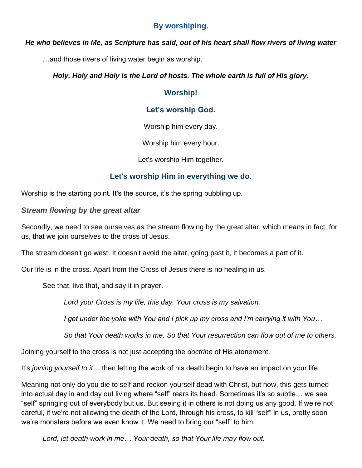## **By worshiping.**

#### *He who believes in Me, as Scripture has said, out of his heart shall flow rivers of living water*

…and those rivers of living water begin as worship.

#### *Holy, Holy and Holy is the Lord of hosts. The whole earth is full of His glory.*

## **Worship!**

## **Let's worship God.**

Worship him every day.

Worship him every hour.

Let's worship Him together.

## **Let's worship Him in everything we do.**

Worship is the starting point. It's the source, it's the spring bubbling up.

#### *Stream flowing by the great altar*

Secondly, we need to see ourselves as the stream flowing by the great altar, which means in fact, for us, that we join ourselves to the cross of Jesus.

The stream doesn't go west. It doesn't avoid the altar, going past it, It becomes a part of it.

Our life is in the cross. Apart from the Cross of Jesus there is no healing in us.

See that, live that, and say it in prayer.

*Lord your Cross is my life, this day. Your cross is my salvation.*

*I get under the yoke with You and I pick up my cross and I'm carrying it with You…*

*So that Your death works in me. So that Your resurrection can flow out of me to others.*

Joining yourself to the cross is not just accepting the *doctrine* of His atonement.

It's *joining yourself to it*… then letting the work of his death begin to have an impact on your life.

Meaning not only do you die to self and reckon yourself dead with Christ, but now, this gets turned into actual day in and day out living where "self" rears its head. Sometimes it's so subtle… we see "self" springing out of everybody but us. But seeing it in others is not doing us any good. If we're not careful, if we're not allowing the death of the Lord, through his cross, to kill "self" in us, pretty soon we're monsters before we even know it. We need to bring our "self" to him.

*Lord, let death work in me… Your death, so that Your life may flow out.*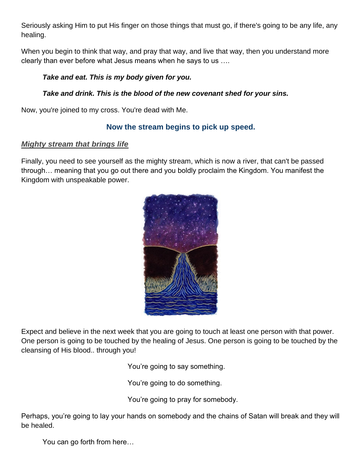Seriously asking Him to put His finger on those things that must go, if there's going to be any life, any healing.

When you begin to think that way, and pray that way, and live that way, then you understand more clearly than ever before what Jesus means when he says to us ….

## *Take and eat. This is my body given for you.*

## *Take and drink. This is the blood of the new covenant shed for your sins.*

Now, you're joined to my cross. You're dead with Me.

## **Now the stream begins to pick up speed.**

## *Mighty stream that brings life*

Finally, you need to see yourself as the mighty stream, which is now a river, that can't be passed through… meaning that you go out there and you boldly proclaim the Kingdom. You manifest the Kingdom with unspeakable power.



Expect and believe in the next week that you are going to touch at least one person with that power. One person is going to be touched by the healing of Jesus. One person is going to be touched by the cleansing of His blood.. through you!

You're going to say something.

You're going to do something.

You're going to pray for somebody.

Perhaps, you're going to lay your hands on somebody and the chains of Satan will break and they will be healed.

You can go forth from here…